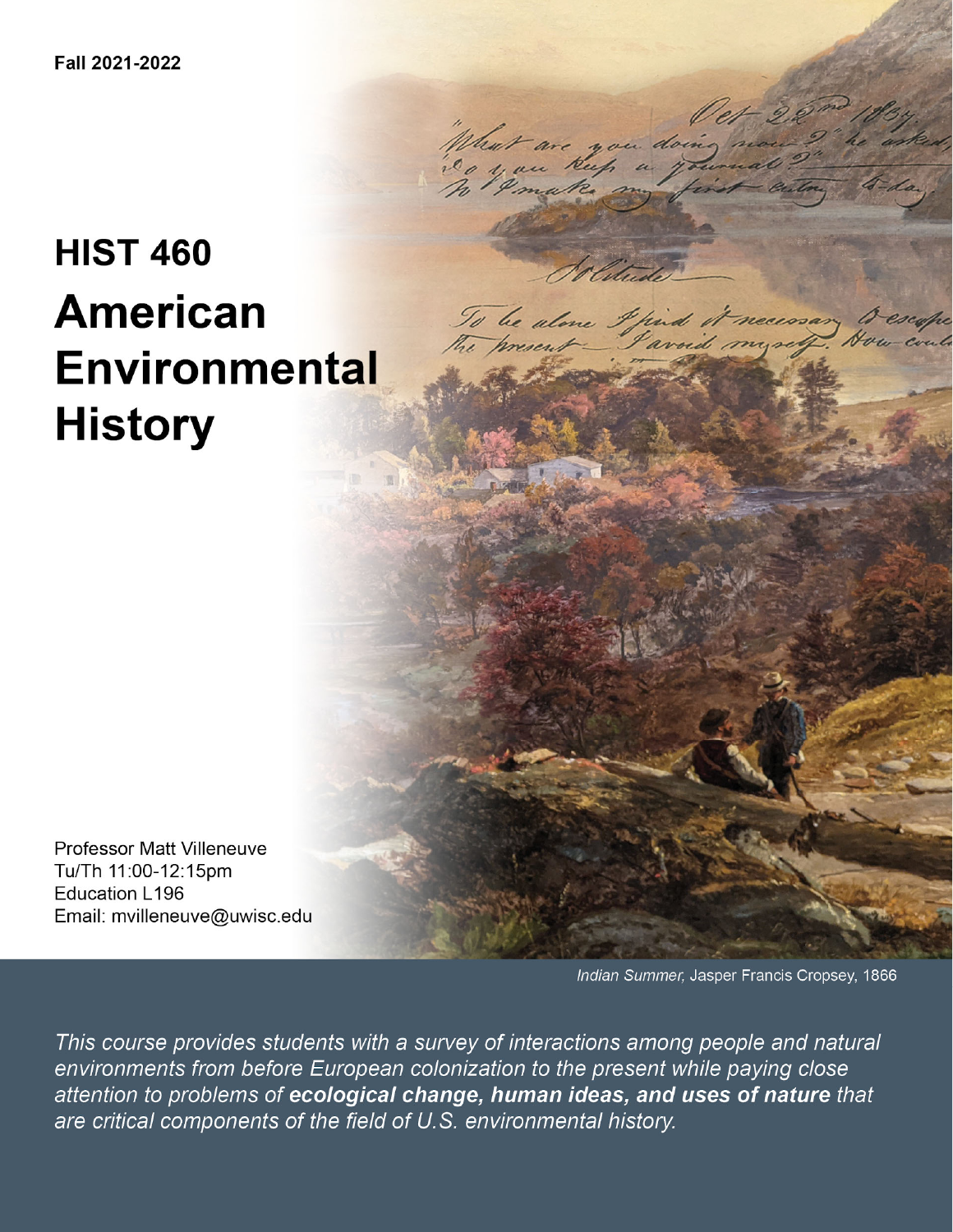# **HIST 460 American Environmental History**

**Professor Matt Villeneuve** Tu/Th 11:00-12:15pm **Education L196** Email: mvilleneuve@uwisc.edu

Indian Summer, Jasper Francis Cropsey, 1866

This course provides students with a survey of interactions among people and natural environments from before European colonization to the present while paying close attention to problems of ecological change, human ideas, and uses of nature that are critical components of the field of U.S. environmental history.

that are you doin

To be alone I find it necessary to

ico you keep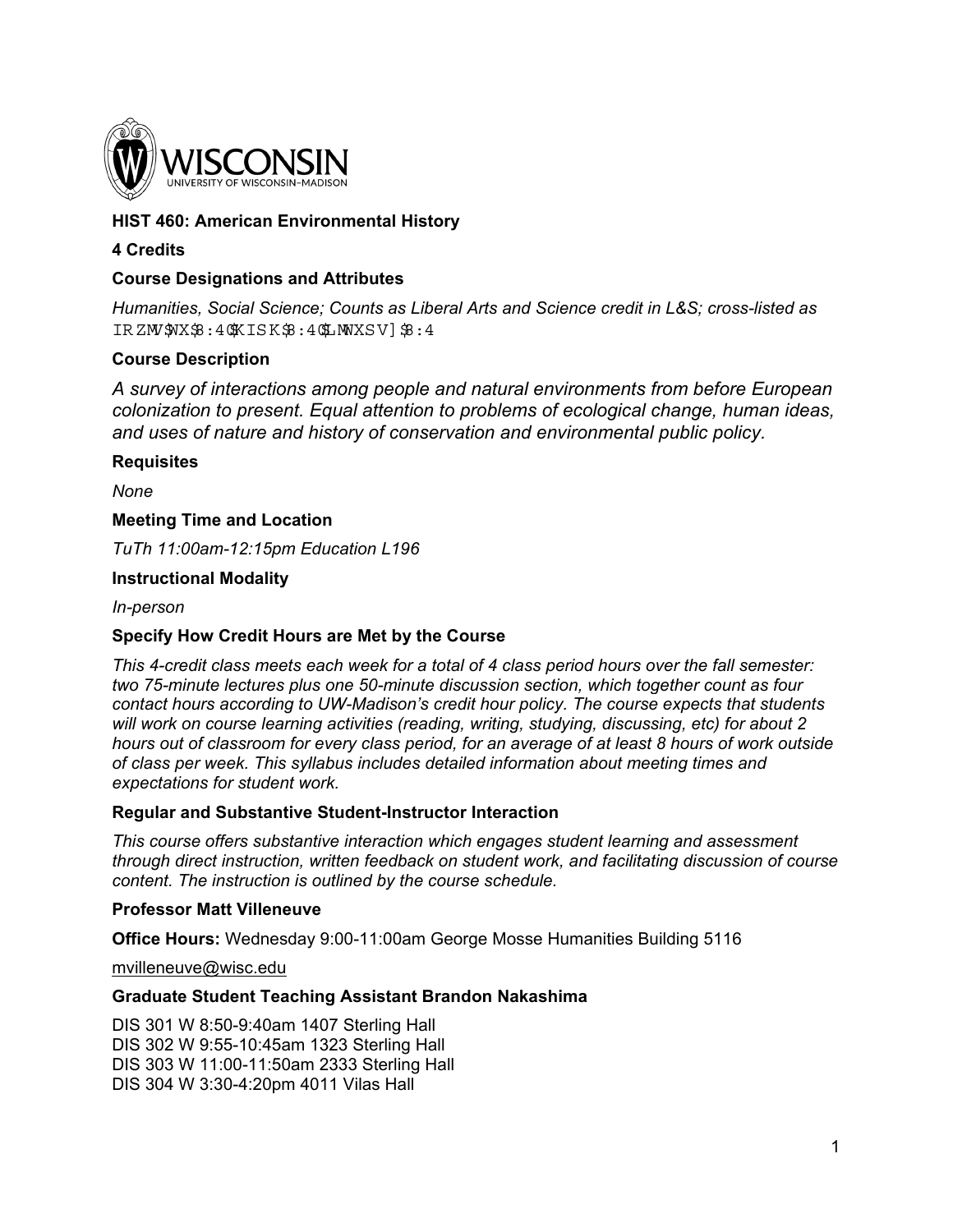

## **HIST 460: American Environmental History**

## **4 Credits**

### **Course Designations and Attributes**

*Humanities, Social Science; Counts as Liberal Arts and Science credit in L&S; cross-listed as*  IRZM \$ NX\$ : 4 \$ KISK \$ : 4 \$ MW XSV ] \$ : 4

### **Course Description**

*A survey of interactions among people and natural environments from before European colonization to present. Equal attention to problems of ecological change, human ideas, and uses of nature and history of conservation and environmental public policy.*

#### **Requisites**

*None*

### **Meeting Time and Location**

*TuTh 11:00am-12:15pm Education L196* 

### **Instructional Modality**

*In-person*

### **Specify How Credit Hours are Met by the Course**

*This 4-credit class meets each week for a total of 4 class period hours over the fall semester: two 75-minute lectures plus one 50-minute discussion section, which together count as four contact hours according to UW-Madison's credit hour policy. The course expects that students will work on course learning activities (reading, writing, studying, discussing, etc) for about 2 hours out of classroom for every class period, for an average of at least 8 hours of work outside of class per week. This syllabus includes detailed information about meeting times and expectations for student work.* 

### **Regular and Substantive Student-Instructor Interaction**

*This course offers substantive interaction which engages student learning and assessment through direct instruction, written feedback on student work, and facilitating discussion of course content. The instruction is outlined by the course schedule.* 

### **Professor Matt Villeneuve**

**Office Hours:** Wednesday 9:00-11:00am George Mosse Humanities Building 5116

mvilleneuve@wisc.edu

#### **Graduate Student Teaching Assistant Brandon Nakashima**

DIS 301 W 8:50-9:40am 1407 Sterling Hall DIS 302 W 9:55-10:45am 1323 Sterling Hall DIS 303 W 11:00-11:50am 2333 Sterling Hall DIS 304 W 3:30-4:20pm 4011 Vilas Hall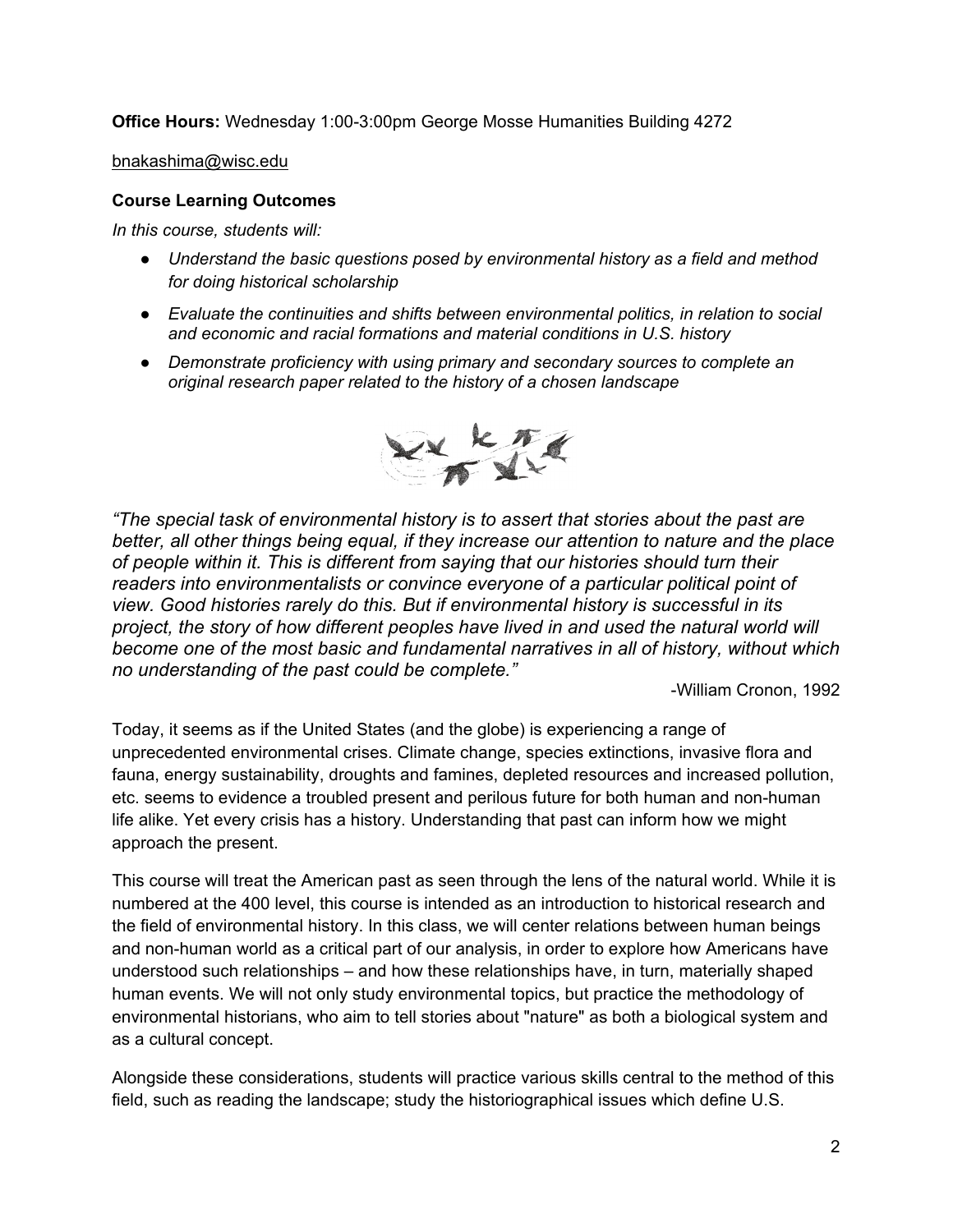**Office Hours:** Wednesday 1:00-3:00pm George Mosse Humanities Building 4272

bnakashima@wisc.edu

### **Course Learning Outcomes**

*In this course, students will:* 

- *Understand the basic questions posed by environmental history as a field and method for doing historical scholarship*
- *Evaluate the continuities and shifts between environmental politics, in relation to social and economic and racial formations and material conditions in U.S. history*
- *Demonstrate proficiency with using primary and secondary sources to complete an original research paper related to the history of a chosen landscape*



*"The special task of environmental history is to assert that stories about the past are better, all other things being equal, if they increase our attention to nature and the place of people within it. This is different from saying that our histories should turn their readers into environmentalists or convince everyone of a particular political point of view. Good histories rarely do this. But if environmental history is successful in its project, the story of how different peoples have lived in and used the natural world will become one of the most basic and fundamental narratives in all of history, without which no understanding of the past could be complete."* 

-William Cronon, 1992

Today, it seems as if the United States (and the globe) is experiencing a range of unprecedented environmental crises. Climate change, species extinctions, invasive flora and fauna, energy sustainability, droughts and famines, depleted resources and increased pollution, etc. seems to evidence a troubled present and perilous future for both human and non-human life alike. Yet every crisis has a history. Understanding that past can inform how we might approach the present.

This course will treat the American past as seen through the lens of the natural world. While it is numbered at the 400 level, this course is intended as an introduction to historical research and the field of environmental history. In this class, we will center relations between human beings and non-human world as a critical part of our analysis, in order to explore how Americans have understood such relationships – and how these relationships have, in turn, materially shaped human events. We will not only study environmental topics, but practice the methodology of environmental historians, who aim to tell stories about "nature" as both a biological system and as a cultural concept.

Alongside these considerations, students will practice various skills central to the method of this field, such as reading the landscape; study the historiographical issues which define U.S.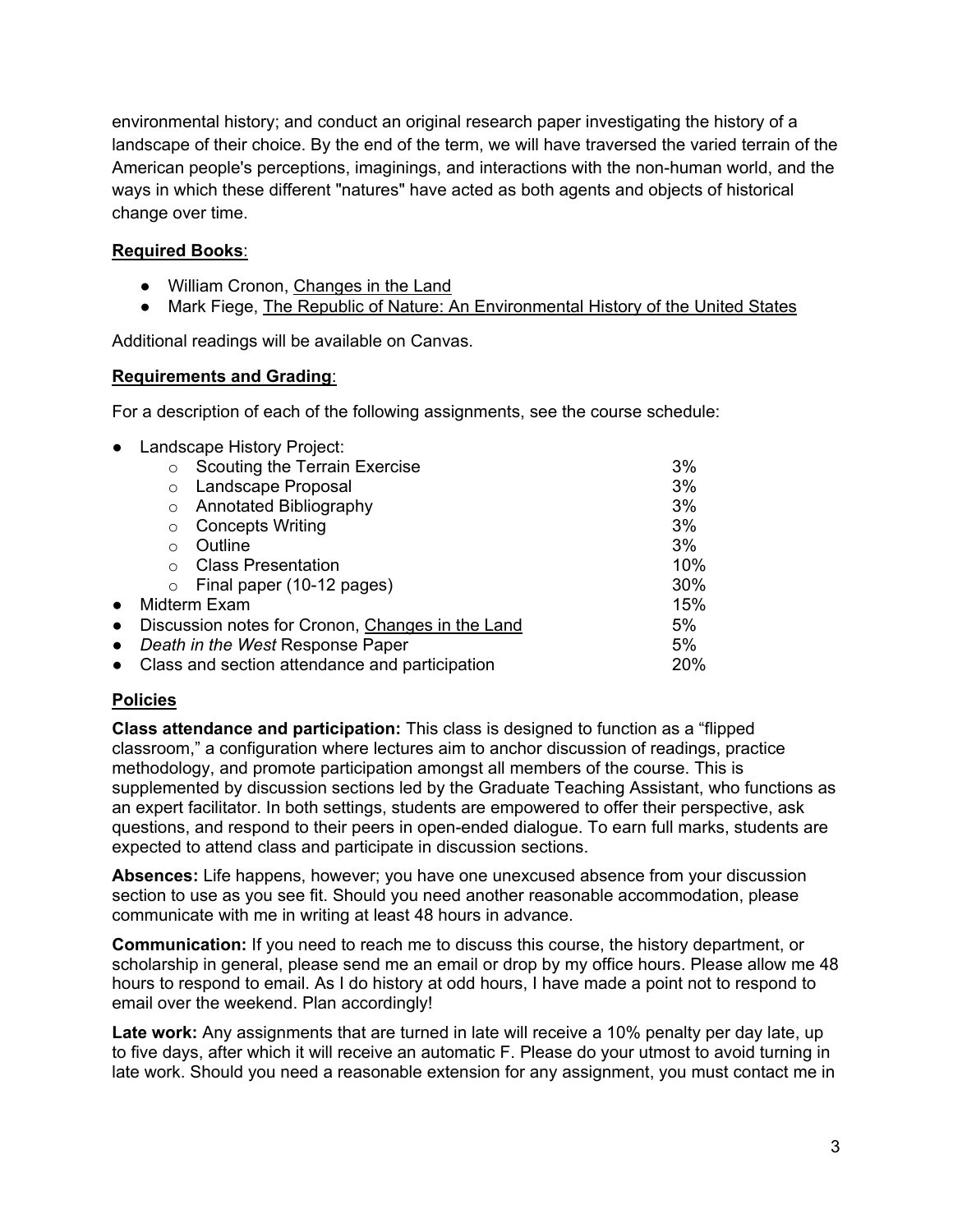environmental history; and conduct an original research paper investigating the history of a landscape of their choice. By the end of the term, we will have traversed the varied terrain of the American people's perceptions, imaginings, and interactions with the non-human world, and the ways in which these different "natures" have acted as both agents and objects of historical change over time.

## **Required Books**:

- William Cronon, Changes in the Land
- Mark Fiege, The Republic of Nature: An Environmental History of the United States

Additional readings will be available on Canvas.

### **Requirements and Grading**:

For a description of each of the following assignments, see the course schedule:

| $\bullet$ | Landscape History Project:                       |  |     |
|-----------|--------------------------------------------------|--|-----|
|           | Scouting the Terrain Exercise<br>$\circ$         |  | 3%  |
|           | Landscape Proposal<br>$\circ$                    |  | 3%  |
|           | <b>Annotated Bibliography</b><br>$\circ$         |  | 3%  |
|           | <b>Concepts Writing</b><br>$\Omega$              |  | 3%  |
|           | Outline<br>$\bigcirc$                            |  | 3%  |
|           | <b>Class Presentation</b><br>$\bigcap$           |  | 10% |
|           | Final paper (10-12 pages)<br>$\circ$             |  | 30% |
| $\bullet$ | Midterm Exam                                     |  | 15% |
| $\bullet$ | Discussion notes for Cronon, Changes in the Land |  | 5%  |
| $\bullet$ | Death in the West Response Paper                 |  | 5%  |
| $\bullet$ | Class and section attendance and participation   |  | 20% |

# **Policies**

**Class attendance and participation:** This class is designed to function as a "flipped classroom," a configuration where lectures aim to anchor discussion of readings, practice methodology, and promote participation amongst all members of the course. This is supplemented by discussion sections led by the Graduate Teaching Assistant, who functions as an expert facilitator. In both settings, students are empowered to offer their perspective, ask questions, and respond to their peers in open-ended dialogue. To earn full marks, students are expected to attend class and participate in discussion sections.

**Absences:** Life happens, however; you have one unexcused absence from your discussion section to use as you see fit. Should you need another reasonable accommodation, please communicate with me in writing at least 48 hours in advance.

**Communication:** If you need to reach me to discuss this course, the history department, or scholarship in general, please send me an email or drop by my office hours. Please allow me 48 hours to respond to email. As I do history at odd hours, I have made a point not to respond to email over the weekend. Plan accordingly!

Late work: Any assignments that are turned in late will receive a 10% penalty per day late, up to five days, after which it will receive an automatic F. Please do your utmost to avoid turning in late work. Should you need a reasonable extension for any assignment, you must contact me in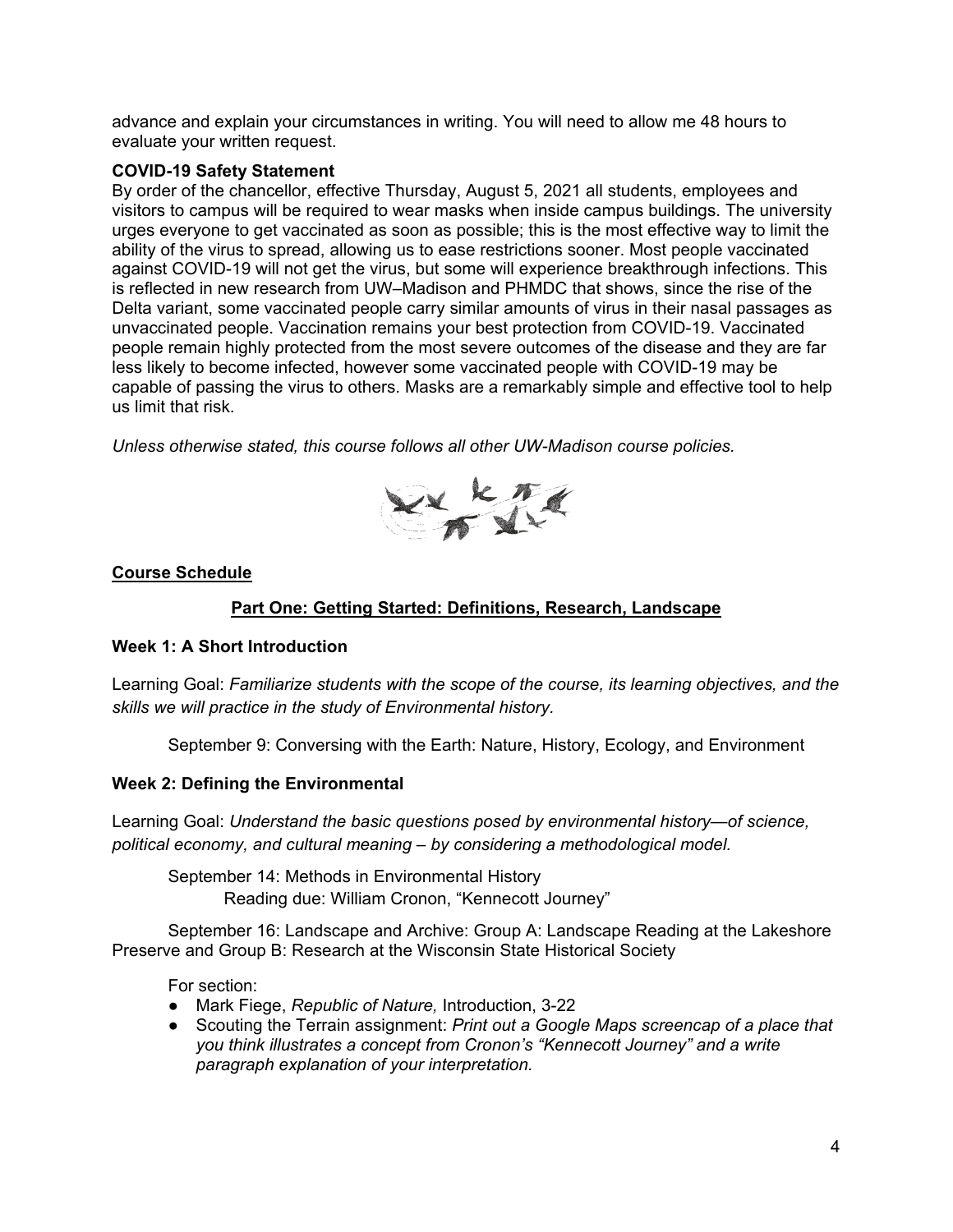advance and explain your circumstances in writing. You will need to allow me 48 hours to evaluate your written request.

## **COVID-19 Safety Statement**

By order of the chancellor, effective Thursday, August 5, 2021 all students, employees and visitors to campus will be required to wear masks when inside campus buildings. The university urges everyone to get vaccinated as soon as possible; this is the most effective way to limit the ability of the virus to spread, allowing us to ease restrictions sooner. Most people vaccinated against COVID-19 will not get the virus, but some will experience breakthrough infections. This is reflected in new research from UW–Madison and PHMDC that shows, since the rise of the Delta variant, some vaccinated people carry similar amounts of virus in their nasal passages as unvaccinated people. Vaccination remains your best protection from COVID-19. Vaccinated people remain highly protected from the most severe outcomes of the disease and they are far less likely to become infected, however some vaccinated people with COVID-19 may be capable of passing the virus to others. Masks are a remarkably simple and effective tool to help us limit that risk.

*Unless otherwise stated, this course follows all other UW-Madison course policies.* 



### **Course Schedule**

## **Part One: Getting Started: Definitions, Research, Landscape**

### **Week 1: A Short Introduction**

Learning Goal: *Familiarize students with the scope of the course, its learning objectives, and the skills we will practice in the study of Environmental history.* 

September 9: Conversing with the Earth: Nature, History, Ecology, and Environment

### **Week 2: Defining the Environmental**

Learning Goal: *Understand the basic questions posed by environmental history—of science, political economy, and cultural meaning – by considering a methodological model.* 

September 14: Methods in Environmental History Reading due: William Cronon, "Kennecott Journey"

 September 16: Landscape and Archive: Group A: Landscape Reading at the Lakeshore Preserve and Group B: Research at the Wisconsin State Historical Society

For section:

- Mark Fiege, *Republic of Nature,* Introduction, 3-22
- Scouting the Terrain assignment: *Print out a Google Maps screencap of a place that you think illustrates a concept from Cronon's "Kennecott Journey" and a write paragraph explanation of your interpretation.*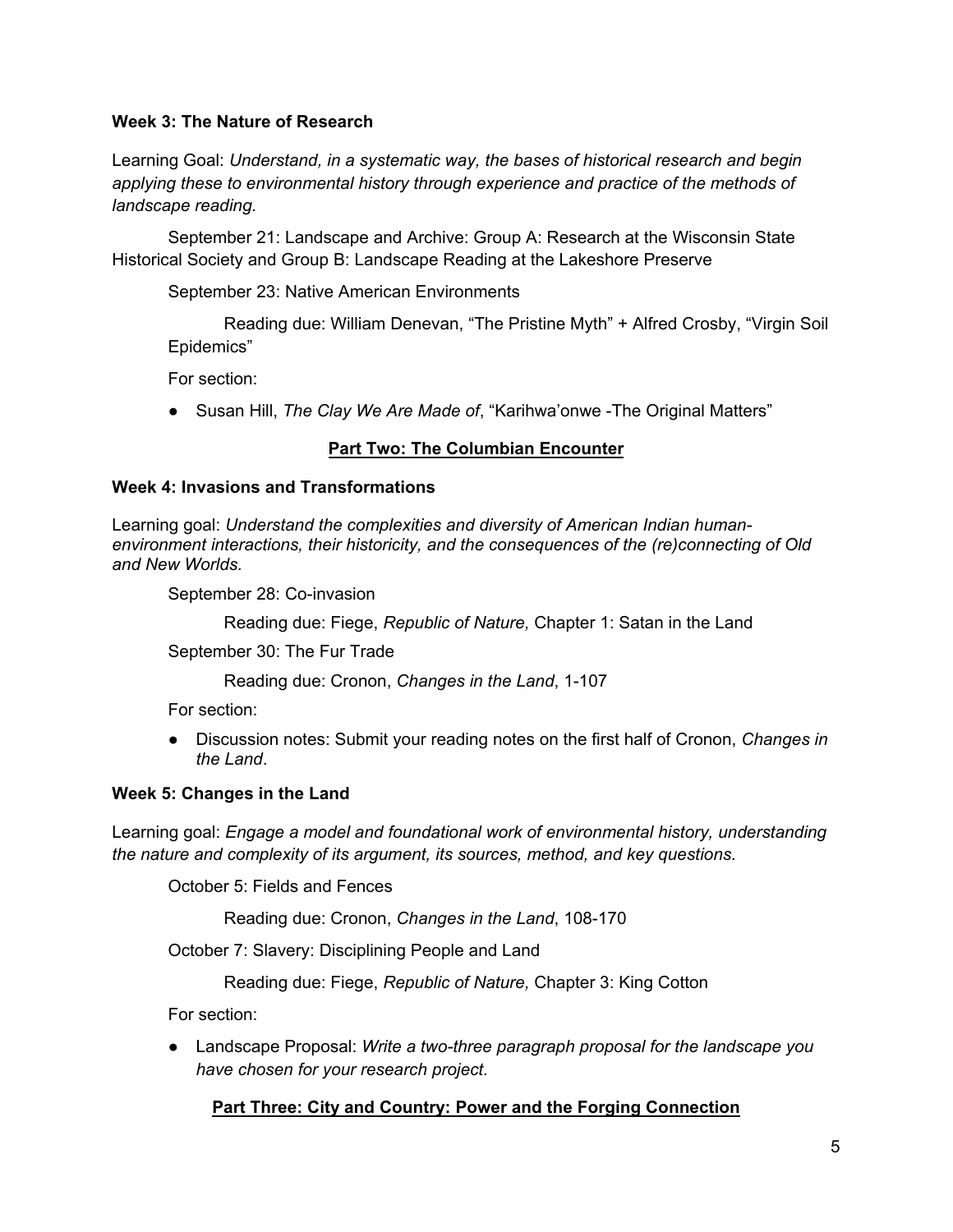## **Week 3: The Nature of Research**

Learning Goal: *Understand, in a systematic way, the bases of historical research and begin applying these to environmental history through experience and practice of the methods of landscape reading.*

 September 21: Landscape and Archive: Group A: Research at the Wisconsin State Historical Society and Group B: Landscape Reading at the Lakeshore Preserve

September 23: Native American Environments

Reading due: William Denevan, "The Pristine Myth" + Alfred Crosby, "Virgin Soil Epidemics"

For section:

● Susan Hill, *The Clay We Are Made of*, "Karihwa'onwe -The Original Matters"

## **Part Two: The Columbian Encounter**

### **Week 4: Invasions and Transformations**

Learning goal: *Understand the complexities and diversity of American Indian humanenvironment interactions, their historicity, and the consequences of the (re)connecting of Old and New Worlds.* 

September 28: Co-invasion

Reading due: Fiege, *Republic of Nature,* Chapter 1: Satan in the Land

September 30: The Fur Trade

Reading due: Cronon, *Changes in the Land*, 1-107

For section:

● Discussion notes: Submit your reading notes on the first half of Cronon, *Changes in the Land*.

### **Week 5: Changes in the Land**

Learning goal: *Engage a model and foundational work of environmental history, understanding the nature and complexity of its argument, its sources, method, and key questions.*

October 5: Fields and Fences

Reading due: Cronon, *Changes in the Land*, 108-170

October 7: Slavery: Disciplining People and Land

Reading due: Fiege, *Republic of Nature,* Chapter 3: King Cotton

For section:

● Landscape Proposal: *Write a two-three paragraph proposal for the landscape you have chosen for your research project.*

# **Part Three: City and Country: Power and the Forging Connection**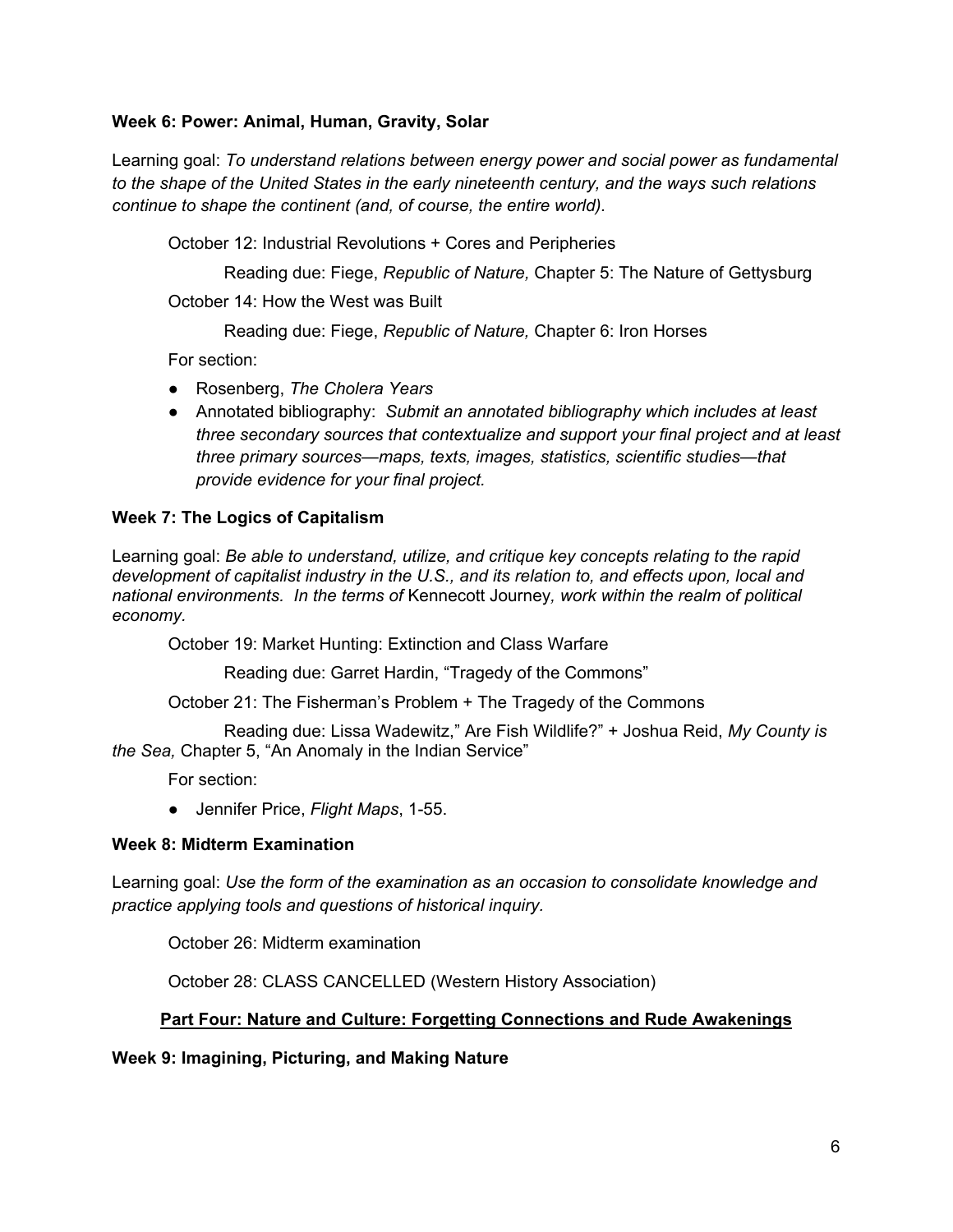## **Week 6: Power: Animal, Human, Gravity, Solar**

Learning goal: *To understand relations between energy power and social power as fundamental to the shape of the United States in the early nineteenth century, and the ways such relations continue to shape the continent (and, of course, the entire world).* 

October 12: Industrial Revolutions + Cores and Peripheries

 Reading due: Fiege, *Republic of Nature,* Chapter 5: The Nature of Gettysburg October 14: How the West was Built

Reading due: Fiege, *Republic of Nature,* Chapter 6: Iron Horses

For section:

- Rosenberg, *The Cholera Years*
- Annotated bibliography: *Submit an annotated bibliography which includes at least three secondary sources that contextualize and support your final project and at least three primary sources—maps, texts, images, statistics, scientific studies—that provide evidence for your final project.*

### **Week 7: The Logics of Capitalism**

Learning goal: *Be able to understand, utilize, and critique key concepts relating to the rapid development of capitalist industry in the U.S., and its relation to, and effects upon, local and national environments. In the terms of* Kennecott Journey*, work within the realm of political economy.*

October 19: Market Hunting: Extinction and Class Warfare

Reading due: Garret Hardin, "Tragedy of the Commons"

October 21: The Fisherman's Problem + The Tragedy of the Commons

 Reading due: Lissa Wadewitz," Are Fish Wildlife?" + Joshua Reid, *My County is the Sea,* Chapter 5, "An Anomaly in the Indian Service"

For section:

● Jennifer Price, *Flight Maps*, 1-55.

### **Week 8: Midterm Examination**

Learning goal: *Use the form of the examination as an occasion to consolidate knowledge and practice applying tools and questions of historical inquiry.*

October 26: Midterm examination

October 28: CLASS CANCELLED (Western History Association)

### **Part Four: Nature and Culture: Forgetting Connections and Rude Awakenings**

**Week 9: Imagining, Picturing, and Making Nature**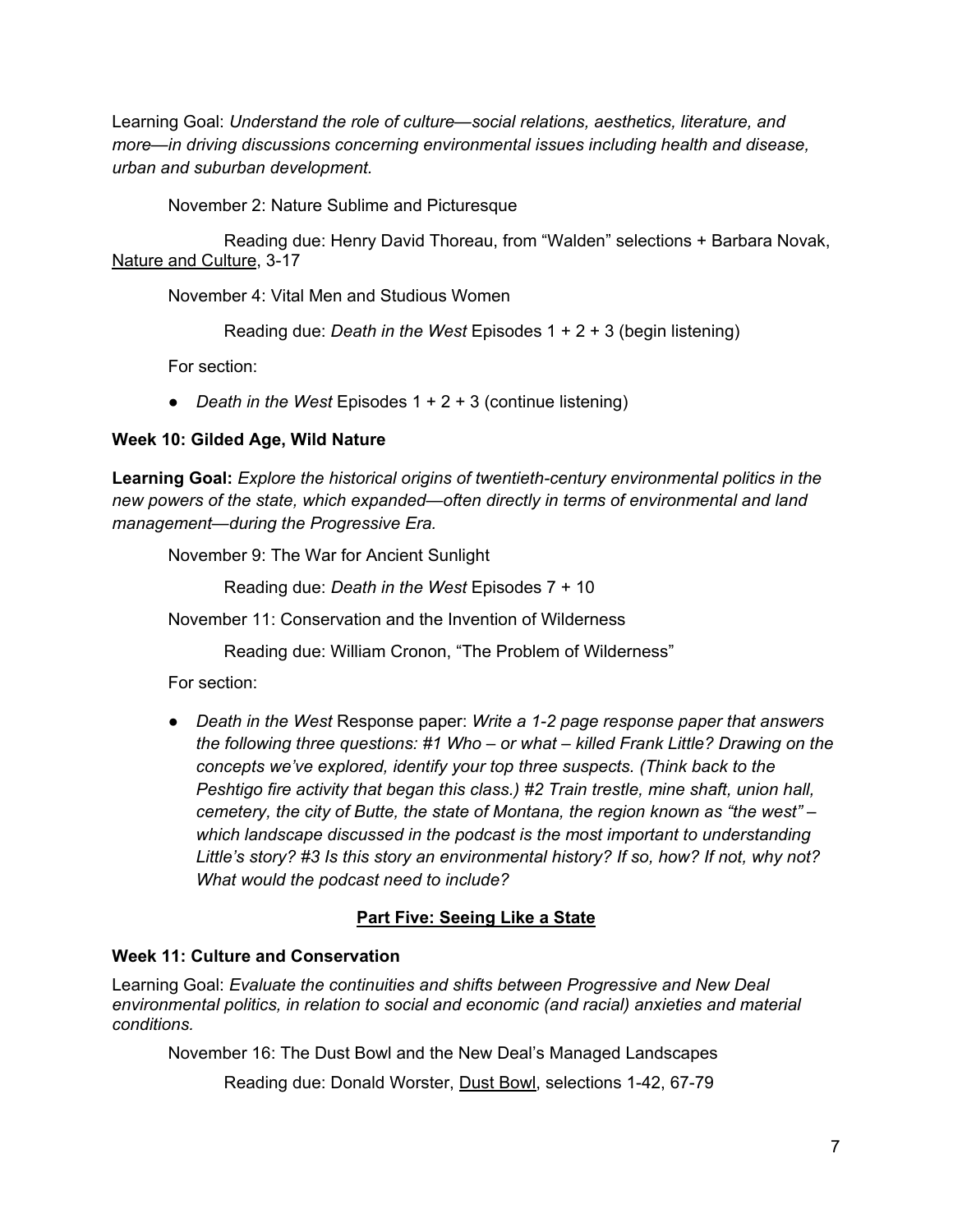Learning Goal: *Understand the role of culture—social relations, aesthetics, literature, and more—in driving discussions concerning environmental issues including health and disease, urban and suburban development.*

November 2: Nature Sublime and Picturesque

 Reading due: Henry David Thoreau, from "Walden" selections + Barbara Novak, Nature and Culture, 3-17

November 4: Vital Men and Studious Women

Reading due: *Death in the West* Episodes 1 + 2 + 3 (begin listening)

For section:

● *Death in the West* Episodes 1 + 2 + 3 (continue listening)

## **Week 10: Gilded Age, Wild Nature**

**Learning Goal:** *Explore the historical origins of twentieth-century environmental politics in the new powers of the state, which expanded—often directly in terms of environmental and land management—during the Progressive Era.* 

November 9: The War for Ancient Sunlight

Reading due: *Death in the West* Episodes 7 + 10

November 11: Conservation and the Invention of Wilderness

Reading due: William Cronon, "The Problem of Wilderness"

For section:

● *Death in the West* Response paper: *Write a 1-2 page response paper that answers the following three questions: #1 Who – or what – killed Frank Little? Drawing on the concepts we've explored, identify your top three suspects. (Think back to the Peshtigo fire activity that began this class.) #2 Train trestle, mine shaft, union hall, cemetery, the city of Butte, the state of Montana, the region known as "the west" – which landscape discussed in the podcast is the most important to understanding Little's story? #3 Is this story an environmental history? If so, how? If not, why not? What would the podcast need to include?*

# **Part Five: Seeing Like a State**

### **Week 11: Culture and Conservation**

Learning Goal: *Evaluate the continuities and shifts between Progressive and New Deal environmental politics, in relation to social and economic (and racial) anxieties and material conditions.*

November 16: The Dust Bowl and the New Deal's Managed Landscapes

Reading due: Donald Worster, Dust Bowl, selections 1-42, 67-79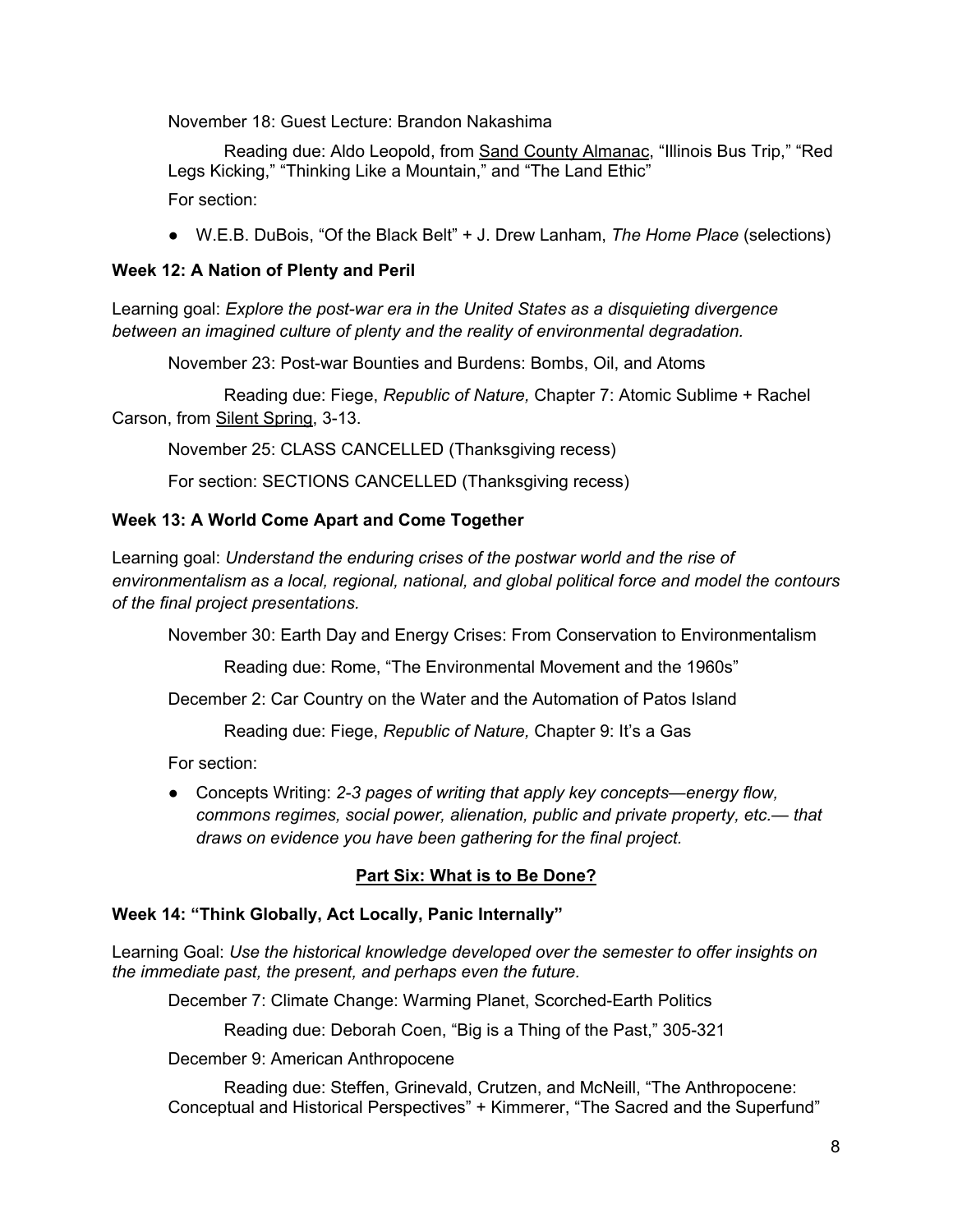November 18: Guest Lecture: Brandon Nakashima

 Reading due: Aldo Leopold, from Sand County Almanac, "Illinois Bus Trip," "Red Legs Kicking," "Thinking Like a Mountain," and "The Land Ethic" For section:

● W.E.B. DuBois, "Of the Black Belt" + J. Drew Lanham, *The Home Place* (selections)

## **Week 12: A Nation of Plenty and Peril**

Learning goal: *Explore the post-war era in the United States as a disquieting divergence between an imagined culture of plenty and the reality of environmental degradation.* 

November 23: Post-war Bounties and Burdens: Bombs, Oil, and Atoms

 Reading due: Fiege, *Republic of Nature,* Chapter 7: Atomic Sublime + Rachel Carson, from Silent Spring, 3-13.

November 25: CLASS CANCELLED (Thanksgiving recess)

For section: SECTIONS CANCELLED (Thanksgiving recess)

### **Week 13: A World Come Apart and Come Together**

Learning goal: *Understand the enduring crises of the postwar world and the rise of environmentalism as a local, regional, national, and global political force and model the contours of the final project presentations.* 

November 30: Earth Day and Energy Crises: From Conservation to Environmentalism

Reading due: Rome, "The Environmental Movement and the 1960s"

December 2: Car Country on the Water and the Automation of Patos Island

Reading due: Fiege, *Republic of Nature,* Chapter 9: It's a Gas

For section:

● Concepts Writing: *2-3 pages of writing that apply key concepts—energy flow, commons regimes, social power, alienation, public and private property, etc.— that draws on evidence you have been gathering for the final project.* 

### **Part Six: What is to Be Done?**

### **Week 14: "Think Globally, Act Locally, Panic Internally"**

Learning Goal: *Use the historical knowledge developed over the semester to offer insights on the immediate past, the present, and perhaps even the future.* 

December 7: Climate Change: Warming Planet, Scorched-Earth Politics

Reading due: Deborah Coen, "Big is a Thing of the Past," 305-321

December 9: American Anthropocene

 Reading due: Steffen, Grinevald, Crutzen, and McNeill, "The Anthropocene: Conceptual and Historical Perspectives" + Kimmerer, "The Sacred and the Superfund"